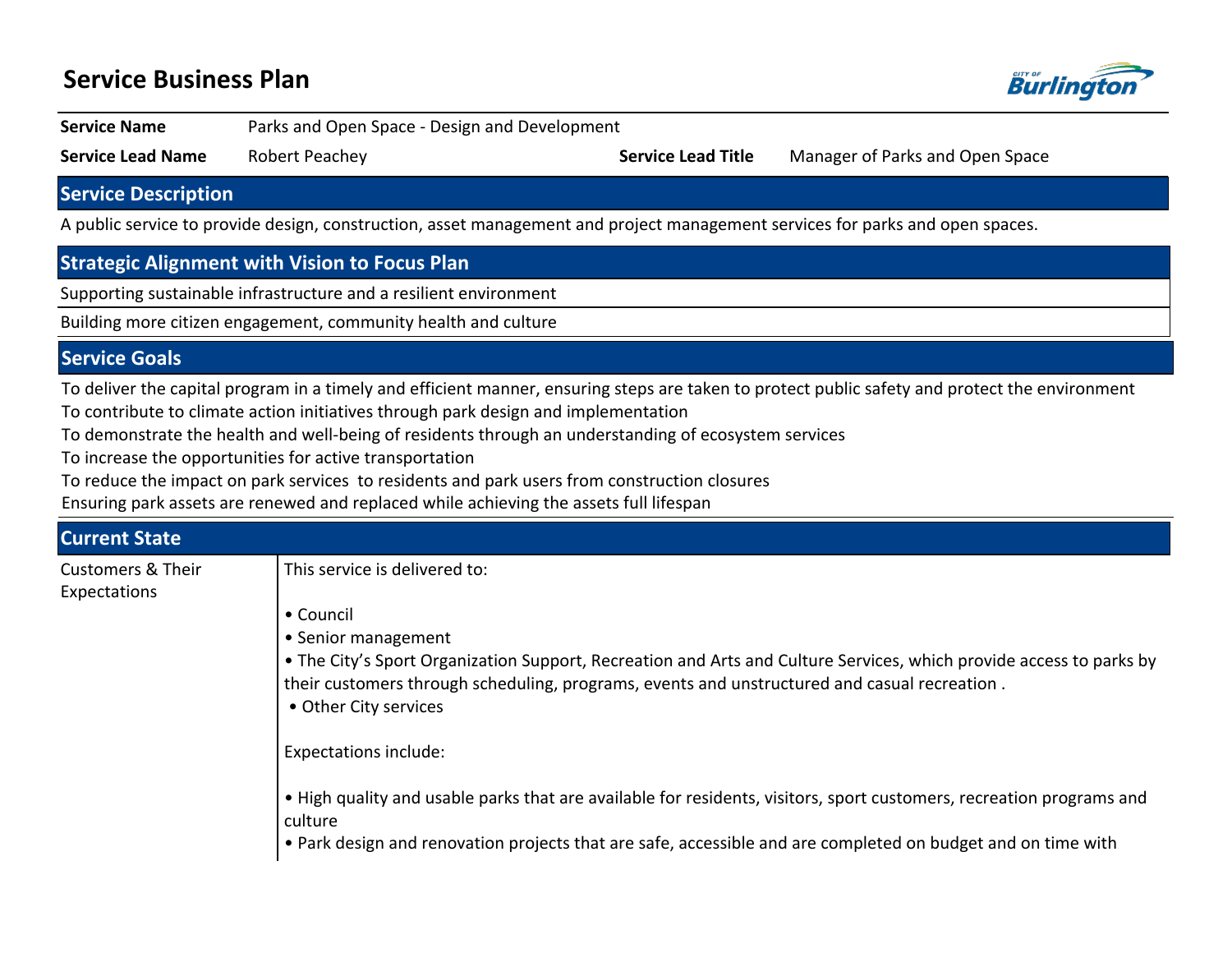# **Service Business Plan**



**Service Name** Parks and Open Space - Design and Development

**Service Lead Name** Robert Peachey **Service Lead Title** Manager of Parks and Open Space

**Service Description**

A public service to provide design, construction, asset management and project management services for parks and open spaces.

## **Strategic Alignment with Vision to Focus Plan**

Supporting sustainable infrastructure and a resilient environment

Building more citizen engagement, community health and culture

### **Service Goals**

To deliver the capital program in a timely and efficient manner, ensuring steps are taken to protect public safety and protect the environment To contribute to climate action initiatives through park design and implementation

To demonstrate the health and well-being of residents through an understanding of ecosystem services

To increase the opportunities for active transportation

To reduce the impact on park services to residents and park users from construction closures

Ensuring park assets are renewed and replaced while achieving the assets full lifespan

| <b>Current State</b>                         |                                                                                                                                                                                                                                                                                  |  |  |  |
|----------------------------------------------|----------------------------------------------------------------------------------------------------------------------------------------------------------------------------------------------------------------------------------------------------------------------------------|--|--|--|
| <b>Customers &amp; Their</b><br>Expectations | This service is delivered to:                                                                                                                                                                                                                                                    |  |  |  |
|                                              | • Council<br>• Senior management<br>• The City's Sport Organization Support, Recreation and Arts and Culture Services, which provide access to parks by<br>their customers through scheduling, programs, events and unstructured and casual recreation.<br>• Other City services |  |  |  |
|                                              | Expectations include:                                                                                                                                                                                                                                                            |  |  |  |
|                                              | • High quality and usable parks that are available for residents, visitors, sport customers, recreation programs and<br>culture<br>• Park design and renovation projects that are safe, accessible and are completed on budget and on time with                                  |  |  |  |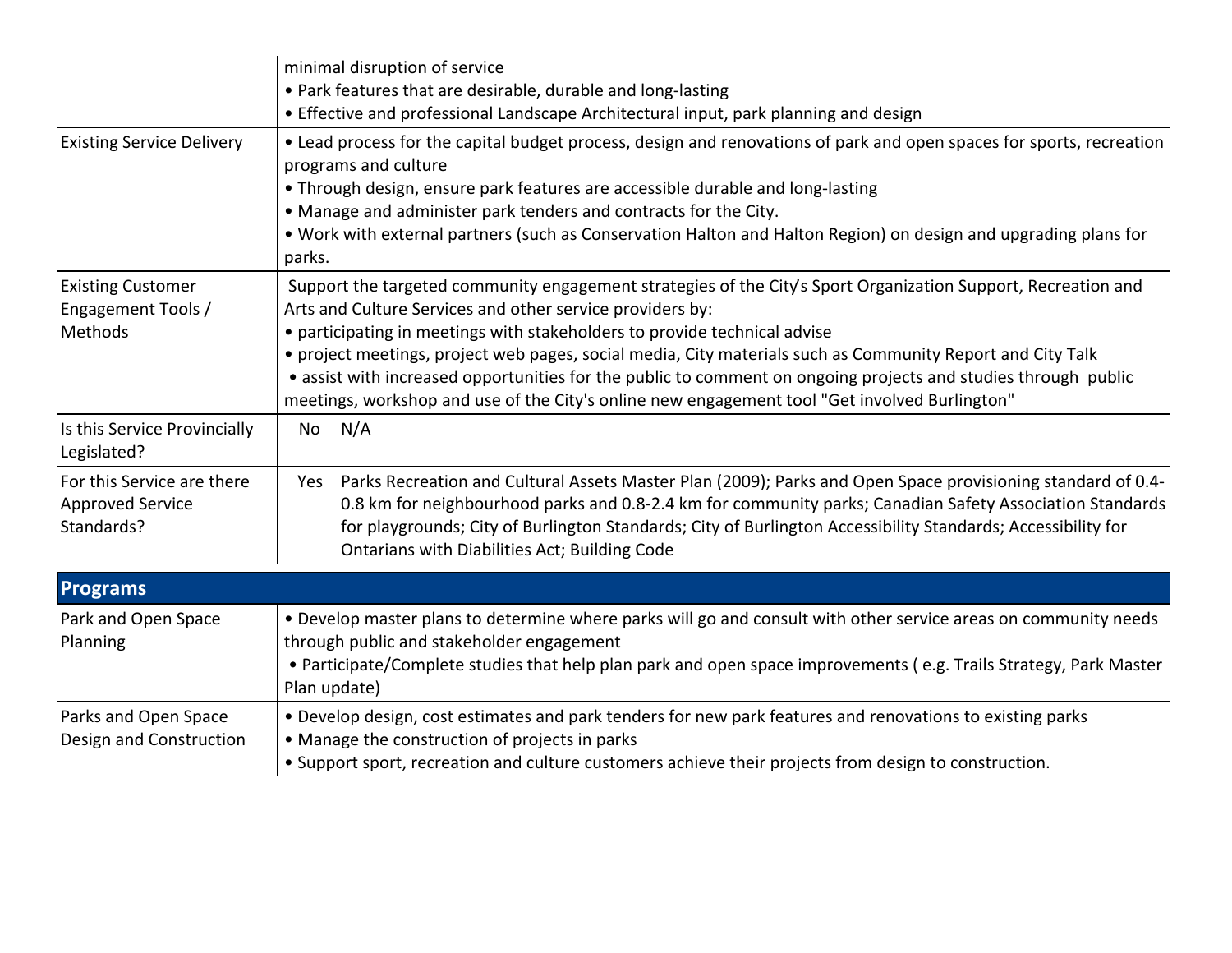|                                                                     | minimal disruption of service<br>• Park features that are desirable, durable and long-lasting                                                                                                                                                                                                                                                                                                                                                                                                                                                                                            |  |  |  |  |
|---------------------------------------------------------------------|------------------------------------------------------------------------------------------------------------------------------------------------------------------------------------------------------------------------------------------------------------------------------------------------------------------------------------------------------------------------------------------------------------------------------------------------------------------------------------------------------------------------------------------------------------------------------------------|--|--|--|--|
|                                                                     | • Effective and professional Landscape Architectural input, park planning and design                                                                                                                                                                                                                                                                                                                                                                                                                                                                                                     |  |  |  |  |
| <b>Existing Service Delivery</b>                                    | • Lead process for the capital budget process, design and renovations of park and open spaces for sports, recreation<br>programs and culture<br>• Through design, ensure park features are accessible durable and long-lasting<br>• Manage and administer park tenders and contracts for the City.<br>• Work with external partners (such as Conservation Halton and Halton Region) on design and upgrading plans for<br>parks.                                                                                                                                                          |  |  |  |  |
| <b>Existing Customer</b><br>Engagement Tools /<br>Methods           | Support the targeted community engagement strategies of the City's Sport Organization Support, Recreation and<br>Arts and Culture Services and other service providers by:<br>• participating in meetings with stakeholders to provide technical advise<br>• project meetings, project web pages, social media, City materials such as Community Report and City Talk<br>• assist with increased opportunities for the public to comment on ongoing projects and studies through public<br>meetings, workshop and use of the City's online new engagement tool "Get involved Burlington" |  |  |  |  |
| Is this Service Provincially<br>Legislated?                         | No N/A                                                                                                                                                                                                                                                                                                                                                                                                                                                                                                                                                                                   |  |  |  |  |
| For this Service are there<br><b>Approved Service</b><br>Standards? | Yes Parks Recreation and Cultural Assets Master Plan (2009); Parks and Open Space provisioning standard of 0.4-<br>0.8 km for neighbourhood parks and 0.8-2.4 km for community parks; Canadian Safety Association Standards<br>for playgrounds; City of Burlington Standards; City of Burlington Accessibility Standards; Accessibility for<br>Ontarians with Diabilities Act; Building Code                                                                                                                                                                                             |  |  |  |  |
| <b>Programs</b>                                                     |                                                                                                                                                                                                                                                                                                                                                                                                                                                                                                                                                                                          |  |  |  |  |
| Park and Open Space<br>Planning                                     | . Develop master plans to determine where parks will go and consult with other service areas on community needs<br>through public and stakeholder engagement<br>• Participate/Complete studies that help plan park and open space improvements (e.g. Trails Strategy, Park Master<br>Plan update)                                                                                                                                                                                                                                                                                        |  |  |  |  |
| Parks and Open Space<br>Design and Construction                     | • Develop design, cost estimates and park tenders for new park features and renovations to existing parks<br>• Manage the construction of projects in parks<br>• Support sport, recreation and culture customers achieve their projects from design to construction.                                                                                                                                                                                                                                                                                                                     |  |  |  |  |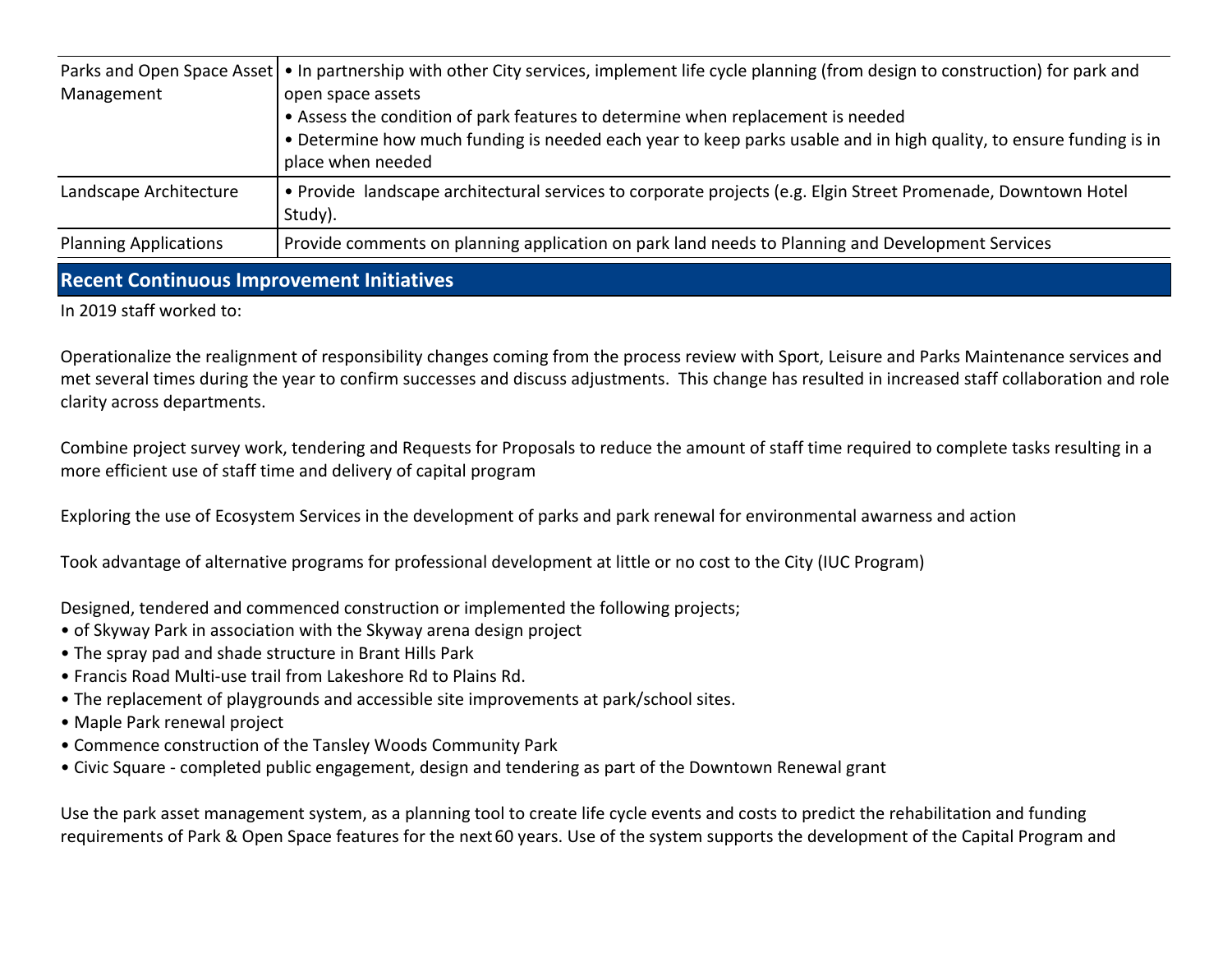|                              | Parks and Open Space Asset   • In partnership with other City services, implement life cycle planning (from design to construction) for park and |
|------------------------------|--------------------------------------------------------------------------------------------------------------------------------------------------|
| Management                   | open space assets                                                                                                                                |
|                              | • Assess the condition of park features to determine when replacement is needed                                                                  |
|                              | • Determine how much funding is needed each year to keep parks usable and in high quality, to ensure funding is in                               |
|                              | place when needed                                                                                                                                |
| Landscape Architecture       | • Provide landscape architectural services to corporate projects (e.g. Elgin Street Promenade, Downtown Hotel<br>Study).                         |
| <b>Planning Applications</b> | Provide comments on planning application on park land needs to Planning and Development Services                                                 |

#### **Recent Continuous Improvement Initiatives**

In 2019 staff worked to:

Operationalize the realignment of responsibility changes coming from the process review with Sport, Leisure and Parks Maintenance services and met several times during the year to confirm successes and discuss adjustments. This change has resulted in increased staff collaboration and role clarity across departments.

Combine project survey work, tendering and Requests for Proposals to reduce the amount of staff time required to complete tasks resulting in a more efficient use of staff time and delivery of capital program

Exploring the use of Ecosystem Services in the development of parks and park renewal for environmental awarness and action

Took advantage of alternative programs for professional development at little or no cost to the City (IUC Program)

Designed, tendered and commenced construction or implemented the following projects;

- of Skyway Park in association with the Skyway arena design project
- The spray pad and shade structure in Brant Hills Park
- Francis Road Multi-use trail from Lakeshore Rd to Plains Rd.
- The replacement of playgrounds and accessible site improvements at park/school sites.
- Maple Park renewal project
- Commence construction of the Tansley Woods Community Park
- Civic Square completed public engagement, design and tendering as part of the Downtown Renewal grant

Use the park asset management system, as a planning tool to create life cycle events and costs to predict the rehabilitation and funding requirements of Park & Open Space features for the next 60 years. Use of the system supports the development of the Capital Program and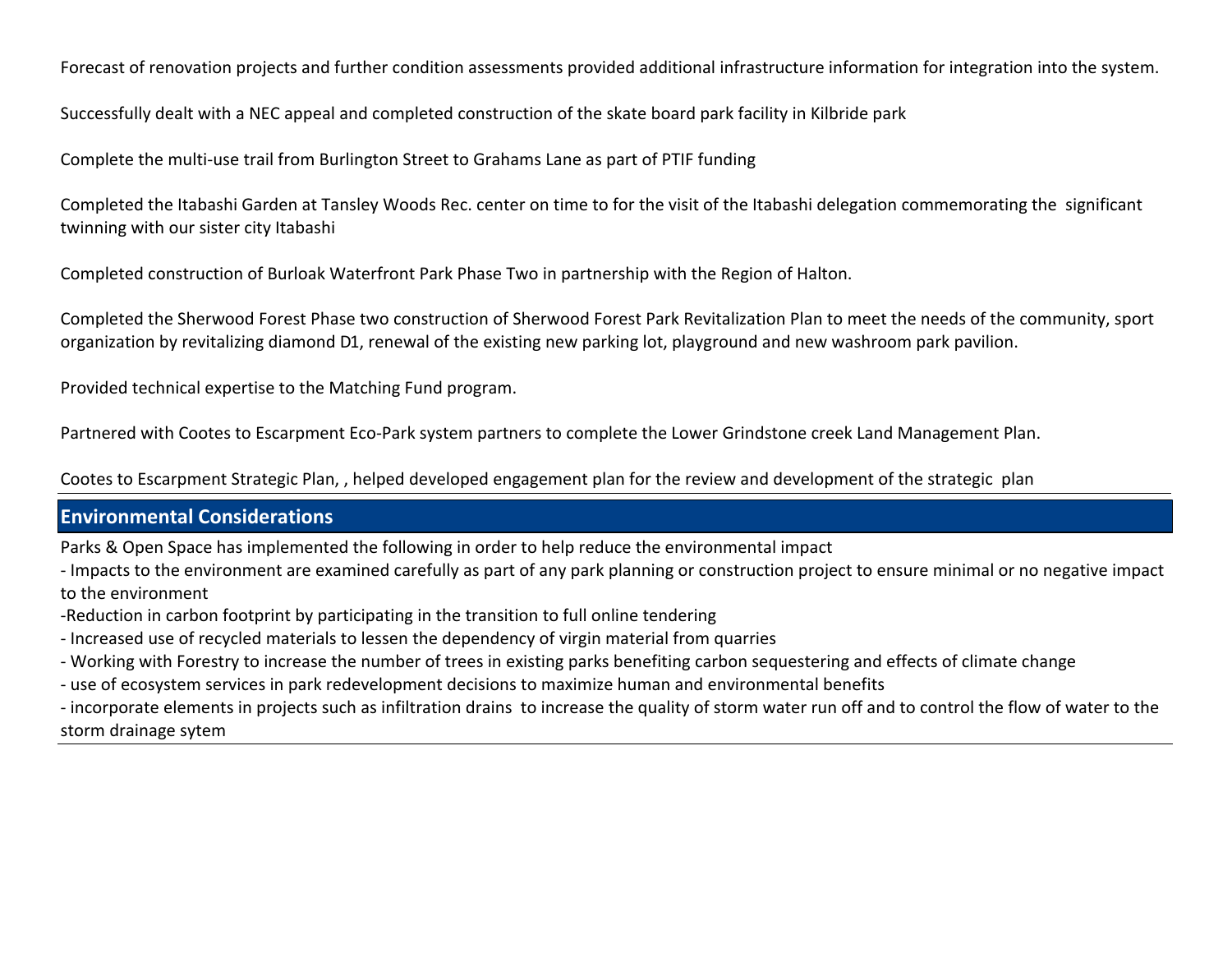Forecast of renovation projects and further condition assessments provided additional infrastructure information for integration into the system.

Successfully dealt with a NEC appeal and completed construction of the skate board park facility in Kilbride park

Complete the multi-use trail from Burlington Street to Grahams Lane as part of PTIF funding

Completed the Itabashi Garden at Tansley Woods Rec. center on time to for the visit of the Itabashi delegation commemorating the significant twinning with our sister city Itabashi

Completed construction of Burloak Waterfront Park Phase Two in partnership with the Region of Halton.

Completed the Sherwood Forest Phase two construction of Sherwood Forest Park Revitalization Plan to meet the needs of the community, sport organization by revitalizing diamond D1, renewal of the existing new parking lot, playground and new washroom park pavilion.

Provided technical expertise to the Matching Fund program.

Partnered with Cootes to Escarpment Eco-Park system partners to complete the Lower Grindstone creek Land Management Plan.

Cootes to Escarpment Strategic Plan, , helped developed engagement plan for the review and development of the strategic plan

## **Environmental Considerations**

Parks & Open Space has implemented the following in order to help reduce the environmental impact

- Impacts to the environment are examined carefully as part of any park planning or construction project to ensure minimal or no negative impact to the environment

- -Reduction in carbon footprint by participating in the transition to full online tendering
- Increased use of recycled materials to lessen the dependency of virgin material from quarries
- Working with Forestry to increase the number of trees in existing parks benefiting carbon sequestering and effects of climate change
- use of ecosystem services in park redevelopment decisions to maximize human and environmental benefits
- incorporate elements in projects such as infiltration drains to increase the quality of storm water run off and to control the flow of water to the storm drainage sytem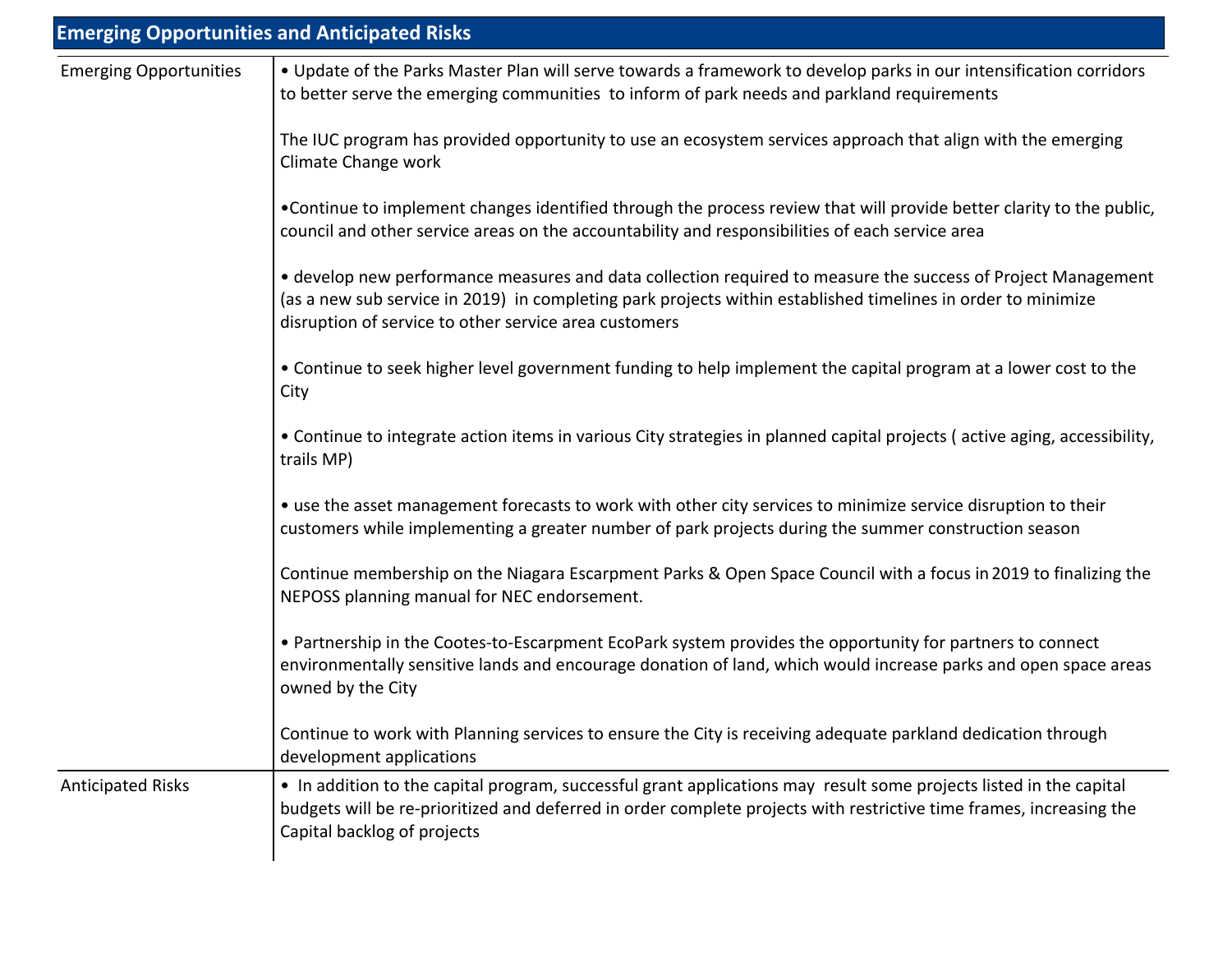|                               | <b>Emerging Opportunities and Anticipated Risks</b>                                                                                                                                                                                                                                   |
|-------------------------------|---------------------------------------------------------------------------------------------------------------------------------------------------------------------------------------------------------------------------------------------------------------------------------------|
| <b>Emerging Opportunities</b> | . Update of the Parks Master Plan will serve towards a framework to develop parks in our intensification corridors<br>to better serve the emerging communities to inform of park needs and parkland requirements                                                                      |
|                               | The IUC program has provided opportunity to use an ecosystem services approach that align with the emerging<br>Climate Change work                                                                                                                                                    |
|                               | •Continue to implement changes identified through the process review that will provide better clarity to the public,<br>council and other service areas on the accountability and responsibilities of each service area                                                               |
|                               | • develop new performance measures and data collection required to measure the success of Project Management<br>(as a new sub service in 2019) in completing park projects within established timelines in order to minimize<br>disruption of service to other service area customers |
|                               | • Continue to seek higher level government funding to help implement the capital program at a lower cost to the<br>City                                                                                                                                                               |
|                               | • Continue to integrate action items in various City strategies in planned capital projects (active aging, accessibility,<br>trails MP)                                                                                                                                               |
|                               | • use the asset management forecasts to work with other city services to minimize service disruption to their<br>customers while implementing a greater number of park projects during the summer construction season                                                                 |
|                               | Continue membership on the Niagara Escarpment Parks & Open Space Council with a focus in 2019 to finalizing the<br>NEPOSS planning manual for NEC endorsement.                                                                                                                        |
|                               | • Partnership in the Cootes-to-Escarpment EcoPark system provides the opportunity for partners to connect<br>environmentally sensitive lands and encourage donation of land, which would increase parks and open space areas<br>owned by the City                                     |
|                               | Continue to work with Planning services to ensure the City is receiving adequate parkland dedication through<br>development applications                                                                                                                                              |
| <b>Anticipated Risks</b>      | • In addition to the capital program, successful grant applications may result some projects listed in the capital<br>budgets will be re-prioritized and deferred in order complete projects with restrictive time frames, increasing the<br>Capital backlog of projects              |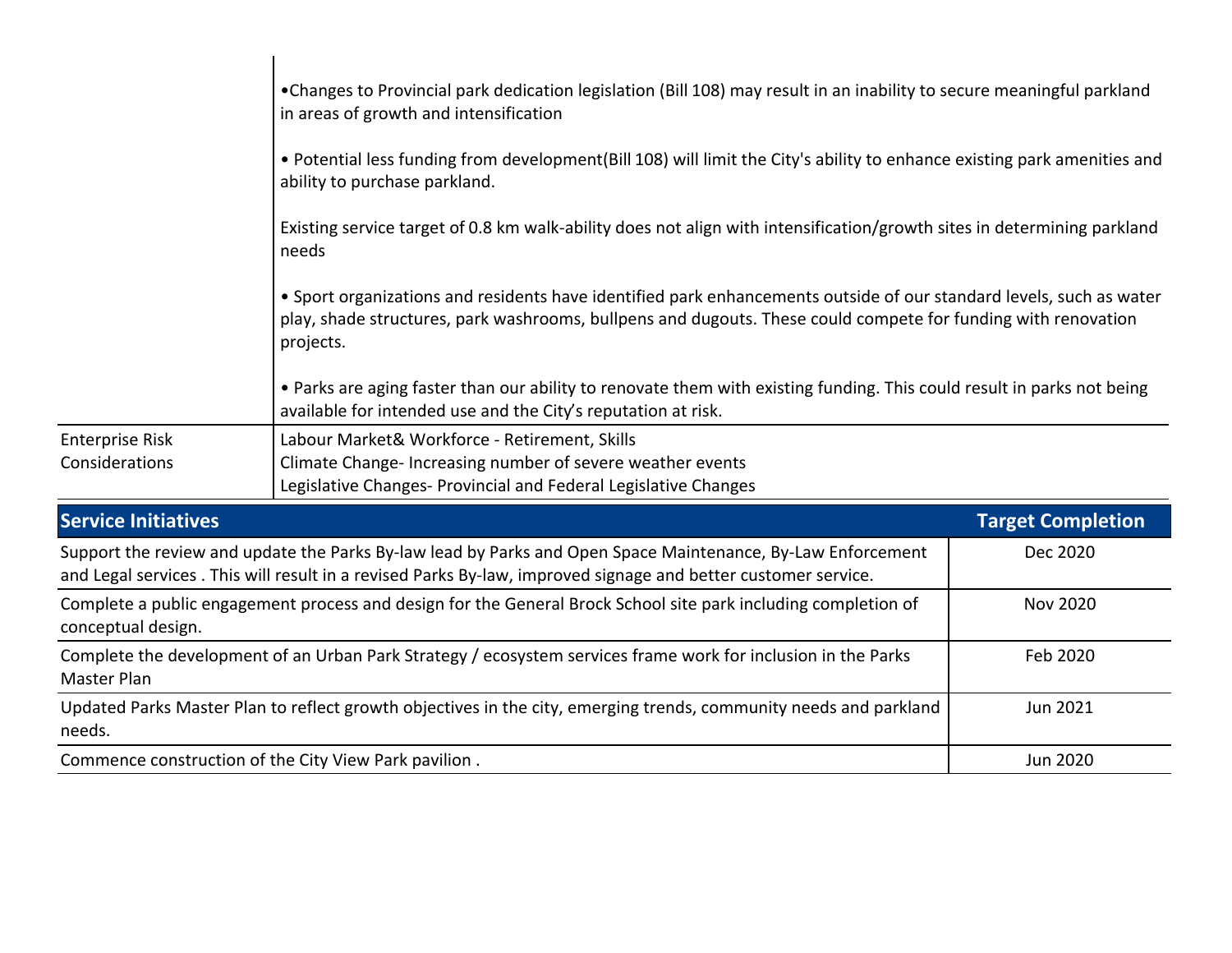|                                                                                                                                                                                                                              | •Changes to Provincial park dedication legislation (Bill 108) may result in an inability to secure meaningful parkland<br>in areas of growth and intensification                                                                                  |                          |  |  |  |  |  |
|------------------------------------------------------------------------------------------------------------------------------------------------------------------------------------------------------------------------------|---------------------------------------------------------------------------------------------------------------------------------------------------------------------------------------------------------------------------------------------------|--------------------------|--|--|--|--|--|
|                                                                                                                                                                                                                              | • Potential less funding from development(Bill 108) will limit the City's ability to enhance existing park amenities and<br>ability to purchase parkland.                                                                                         |                          |  |  |  |  |  |
|                                                                                                                                                                                                                              | Existing service target of 0.8 km walk-ability does not align with intensification/growth sites in determining parkland<br>needs                                                                                                                  |                          |  |  |  |  |  |
|                                                                                                                                                                                                                              | • Sport organizations and residents have identified park enhancements outside of our standard levels, such as water<br>play, shade structures, park washrooms, bullpens and dugouts. These could compete for funding with renovation<br>projects. |                          |  |  |  |  |  |
|                                                                                                                                                                                                                              | • Parks are aging faster than our ability to renovate them with existing funding. This could result in parks not being<br>available for intended use and the City's reputation at risk.                                                           |                          |  |  |  |  |  |
| <b>Enterprise Risk</b><br>Considerations                                                                                                                                                                                     | Labour Market& Workforce - Retirement, Skills<br>Climate Change- Increasing number of severe weather events<br>Legislative Changes- Provincial and Federal Legislative Changes                                                                    |                          |  |  |  |  |  |
| <b>Service Initiatives</b>                                                                                                                                                                                                   |                                                                                                                                                                                                                                                   | <b>Target Completion</b> |  |  |  |  |  |
| Support the review and update the Parks By-law lead by Parks and Open Space Maintenance, By-Law Enforcement<br>and Legal services. This will result in a revised Parks By-law, improved signage and better customer service. | Dec 2020                                                                                                                                                                                                                                          |                          |  |  |  |  |  |
| Complete a public engagement process and design for the General Brock School site park including completion of<br>conceptual design.                                                                                         | <b>Nov 2020</b>                                                                                                                                                                                                                                   |                          |  |  |  |  |  |
| Complete the development of an Urban Park Strategy / ecosystem services frame work for inclusion in the Parks<br>Master Plan                                                                                                 | Feb 2020                                                                                                                                                                                                                                          |                          |  |  |  |  |  |
| Updated Parks Master Plan to reflect growth objectives in the city, emerging trends, community needs and parkland<br>needs.                                                                                                  | Jun 2021                                                                                                                                                                                                                                          |                          |  |  |  |  |  |
| Commence construction of the City View Park pavilion.                                                                                                                                                                        | Jun 2020                                                                                                                                                                                                                                          |                          |  |  |  |  |  |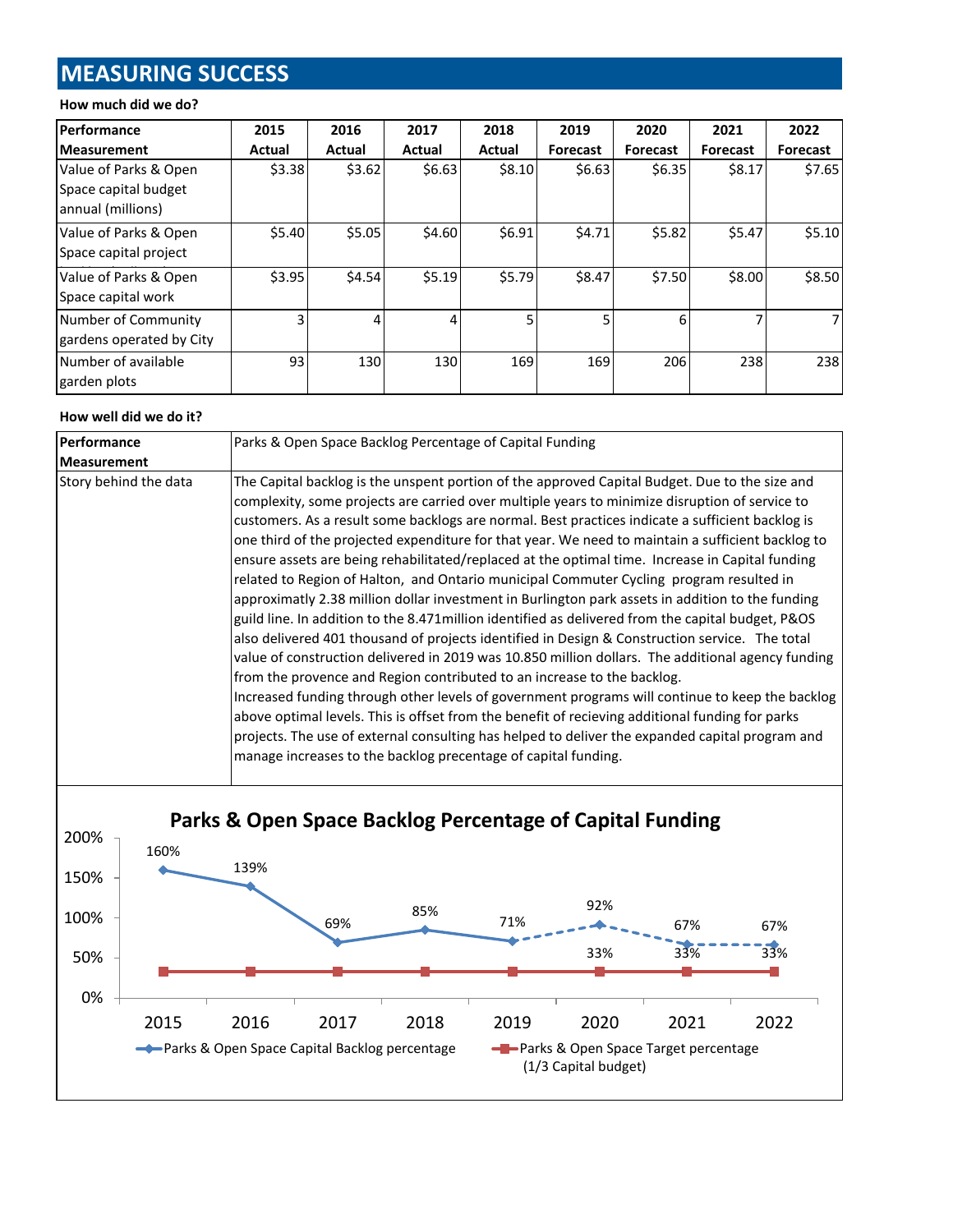# **MEASURING SUCCESS**

#### **How much did we do?**

| <b>Performance</b>                                                 | 2015   | 2016   | 2017   | 2018   | 2019            | 2020            | 2021            | 2022     |
|--------------------------------------------------------------------|--------|--------|--------|--------|-----------------|-----------------|-----------------|----------|
| <b>Measurement</b>                                                 | Actual | Actual | Actual | Actual | <b>Forecast</b> | <b>Forecast</b> | <b>Forecast</b> | Forecast |
| Value of Parks & Open<br>Space capital budget<br>annual (millions) | \$3.38 | \$3.62 | \$6.63 | \$8.10 | \$6.63          | \$6.35          | \$8.17          | \$7.65   |
| Value of Parks & Open<br>Space capital project                     | \$5.40 | \$5.05 | \$4.60 | \$6.91 | \$4.71          | \$5.82          | \$5.47          | \$5.10   |
| Value of Parks & Open<br>Space capital work                        | \$3.95 | \$4.54 | \$5.19 | \$5.79 | \$8.47          | \$7.50          | \$8.00          | \$8.50   |
| Number of Community<br>gardens operated by City                    |        | 4      |        | 5      | 5               | 6               |                 |          |
| Number of available<br>garden plots                                | 93     | 130    | 130    | 169    | 169             | 206             | 238             | 238      |

#### **How well did we do it?**

| Performance           | Parks & Open Space Backlog Percentage of Capital Funding                                                                                                                                                                                                                                                                                                                                                                                                                                                                                                                                                                                                                                                                                                                                                                                                                                                                                                                                                                                                                                                                                                                                                                                                                                                                                                                                                                                                                       |  |  |  |
|-----------------------|--------------------------------------------------------------------------------------------------------------------------------------------------------------------------------------------------------------------------------------------------------------------------------------------------------------------------------------------------------------------------------------------------------------------------------------------------------------------------------------------------------------------------------------------------------------------------------------------------------------------------------------------------------------------------------------------------------------------------------------------------------------------------------------------------------------------------------------------------------------------------------------------------------------------------------------------------------------------------------------------------------------------------------------------------------------------------------------------------------------------------------------------------------------------------------------------------------------------------------------------------------------------------------------------------------------------------------------------------------------------------------------------------------------------------------------------------------------------------------|--|--|--|
| <b>Measurement</b>    |                                                                                                                                                                                                                                                                                                                                                                                                                                                                                                                                                                                                                                                                                                                                                                                                                                                                                                                                                                                                                                                                                                                                                                                                                                                                                                                                                                                                                                                                                |  |  |  |
| Story behind the data | The Capital backlog is the unspent portion of the approved Capital Budget. Due to the size and<br>complexity, some projects are carried over multiple years to minimize disruption of service to<br>customers. As a result some backlogs are normal. Best practices indicate a sufficient backlog is<br>one third of the projected expenditure for that year. We need to maintain a sufficient backlog to<br>ensure assets are being rehabilitated/replaced at the optimal time. Increase in Capital funding<br>related to Region of Halton, and Ontario municipal Commuter Cycling program resulted in<br>approximatly 2.38 million dollar investment in Burlington park assets in addition to the funding<br>guild line. In addition to the 8.471 million identified as delivered from the capital budget, P&OS<br>also delivered 401 thousand of projects identified in Design & Construction service. The total<br>value of construction delivered in 2019 was 10.850 million dollars. The additional agency funding<br>from the provence and Region contributed to an increase to the backlog.<br>Increased funding through other levels of government programs will continue to keep the backlog<br>above optimal levels. This is offset from the benefit of recieving additional funding for parks<br>projects. The use of external consulting has helped to deliver the expanded capital program and<br>manage increases to the backlog precentage of capital funding. |  |  |  |

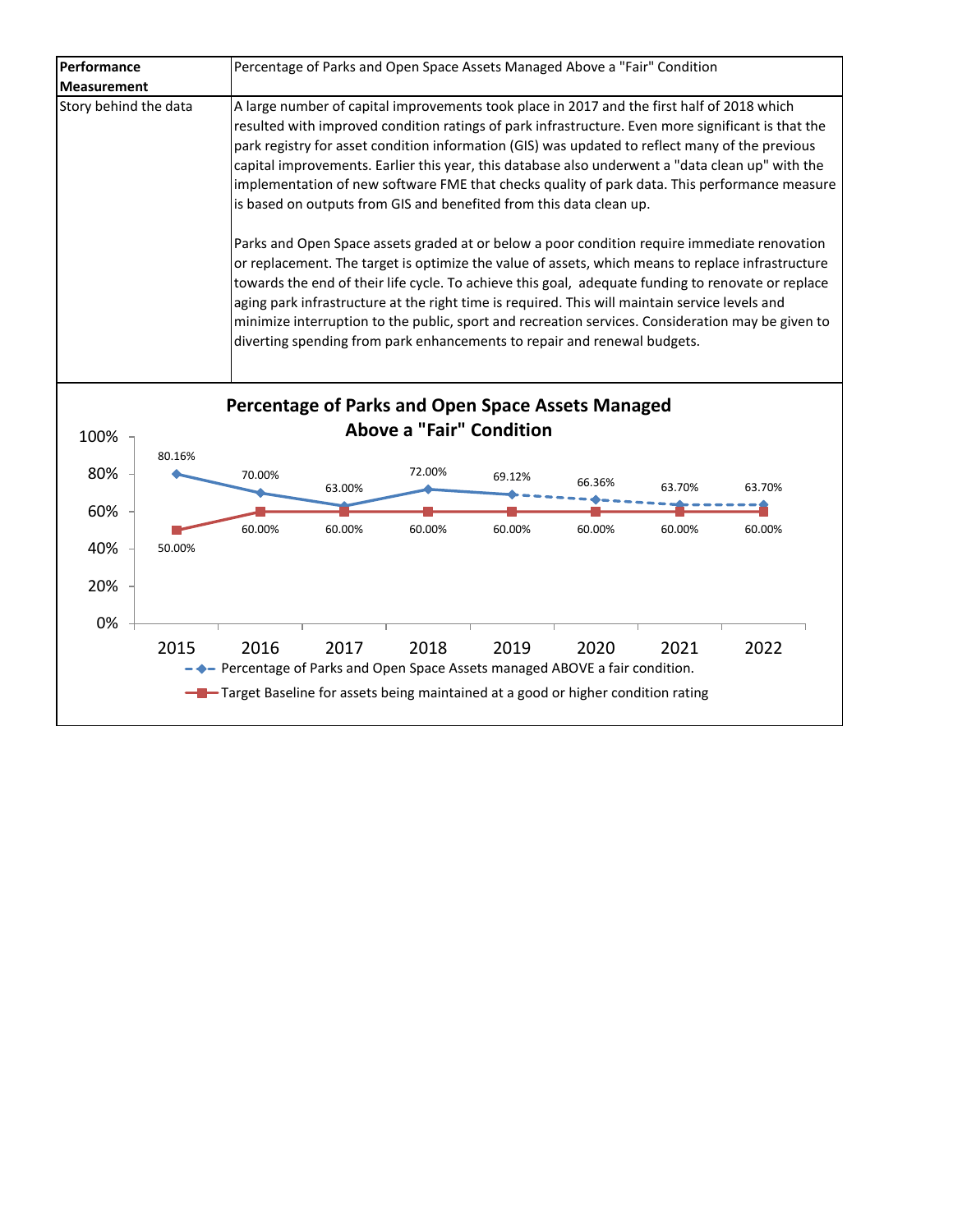